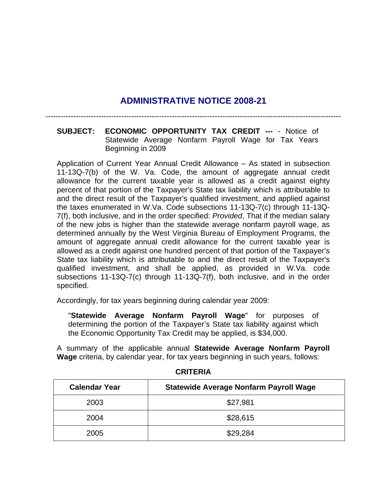## **ADMINISTRATIVE NOTICE 2008-21**

---------------------------------------------------------------------------------------------------------------------

## **SUBJECT: ECONOMIC OPPORTUNITY TAX CREDIT ---** - Notice of Statewide Average Nonfarm Payroll Wage for Tax Years Beginning in 2009

Application of Current Year Annual Credit Allowance – As stated in subsection 11-13Q-7(b) of the W. Va. Code, the amount of aggregate annual credit allowance for the current taxable year is allowed as a credit against eighty percent of that portion of the Taxpayer's State tax liability which is attributable to and the direct result of the Taxpayer's qualified investment, and applied against the taxes enumerated in W.Va. Code subsections 11-13Q-7(c) through 11-13Q-7(f), both inclusive, and in the order specified: *Provided*, That if the median salary of the new jobs is higher than the statewide average nonfarm payroll wage, as determined annually by the West Virginia Bureau of Employment Programs, the amount of aggregate annual credit allowance for the current taxable year is allowed as a credit against one hundred percent of that portion of the Taxpayer's State tax liability which is attributable to and the direct result of the Taxpayer's qualified investment, and shall be applied, as provided in W.Va. code subsections 11-13Q-7(c) through 11-13Q-7(f), both inclusive, and in the order specified.

Accordingly, for tax years beginning during calendar year 2009:

"**Statewide Average Nonfarm Payroll Wage**" for purposes of determining the portion of the Taxpayer's State tax liability against which the Economic Opportunity Tax Credit may be applied, is \$34,000.

A summary of the applicable annual **Statewide Average Nonfarm Payroll Wage** criteria, by calendar year, for tax years beginning in such years, follows:

| <b>Calendar Year</b> | <b>Statewide Average Nonfarm Payroll Wage</b> |
|----------------------|-----------------------------------------------|
| 2003                 | \$27,981                                      |
| 2004                 | \$28,615                                      |
| 2005                 | \$29,284                                      |

## **CRITERIA**